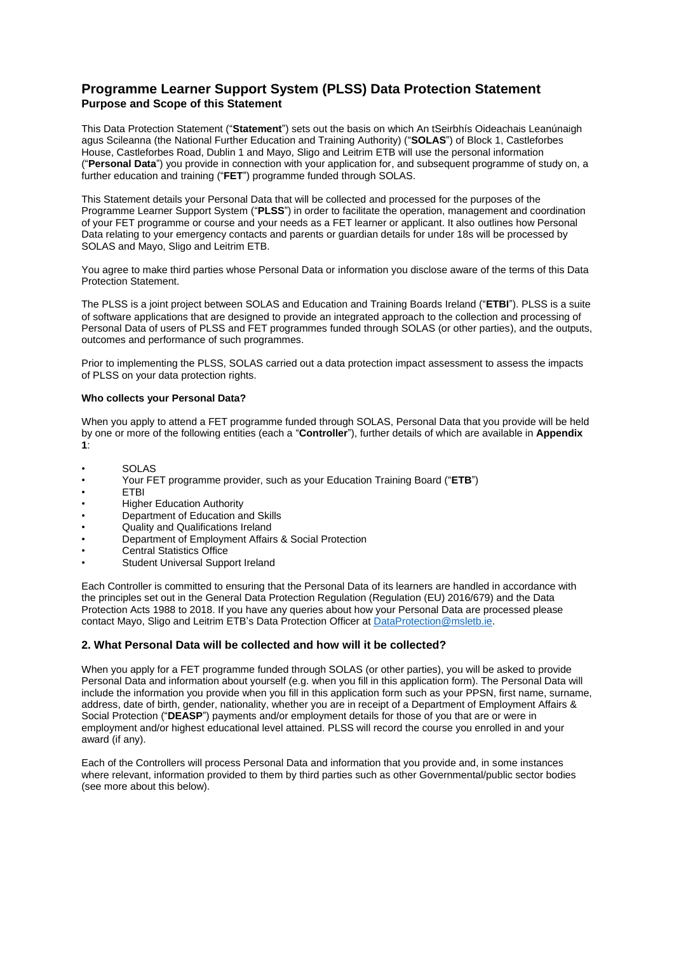# **Programme Learner Support System (PLSS) Data Protection Statement Purpose and Scope of this Statement**

This Data Protection Statement ("**Statement**") sets out the basis on which An tSeirbhís Oideachais Leanúnaigh agus Scileanna (the National Further Education and Training Authority) ("**SOLAS**") of Block 1, Castleforbes House, Castleforbes Road, Dublin 1 and Mayo, Sligo and Leitrim ETB will use the personal information ("**Personal Data**") you provide in connection with your application for, and subsequent programme of study on, a further education and training ("**FET**") programme funded through SOLAS.

This Statement details your Personal Data that will be collected and processed for the purposes of the Programme Learner Support System ("**PLSS**") in order to facilitate the operation, management and coordination of your FET programme or course and your needs as a FET learner or applicant. It also outlines how Personal Data relating to your emergency contacts and parents or guardian details for under 18s will be processed by SOLAS and Mayo, Sligo and Leitrim ETB.

You agree to make third parties whose Personal Data or information you disclose aware of the terms of this Data Protection Statement.

The PLSS is a joint project between SOLAS and Education and Training Boards Ireland ("**ETBI**"). PLSS is a suite of software applications that are designed to provide an integrated approach to the collection and processing of Personal Data of users of PLSS and FET programmes funded through SOLAS (or other parties), and the outputs, outcomes and performance of such programmes.

Prior to implementing the PLSS, SOLAS carried out a data protection impact assessment to assess the impacts of PLSS on your data protection rights.

### **Who collects your Personal Data?**

When you apply to attend a FET programme funded through SOLAS, Personal Data that you provide will be held by one or more of the following entities (each a "**Controller**"), further details of which are available in **Appendix 1**:

- SOLAS<br>• Your FF
- Your FET programme provider, such as your Education Training Board ("**ETB**")
- ETBI
- Higher Education Authority
- Department of Education and Skills
- Quality and Qualifications Ireland
- Department of Employment Affairs & Social Protection
- Central Statistics Office
- Student Universal Support Ireland

Each Controller is committed to ensuring that the Personal Data of its learners are handled in accordance with the principles set out in the General Data Protection Regulation (Regulation (EU) 2016/679) and the Data Protection Acts 1988 to 2018. If you have any queries about how your Personal Data are processed please contact Mayo, Sligo and Leitrim ETB's Data Protection Officer at [DataProtection@msletb.ie.](mailto:DataProtection@msletb.ie)

### **2. What Personal Data will be collected and how will it be collected?**

When you apply for a FET programme funded through SOLAS (or other parties), you will be asked to provide Personal Data and information about yourself (e.g. when you fill in this application form). The Personal Data will include the information you provide when you fill in this application form such as your PPSN, first name, surname, address, date of birth, gender, nationality, whether you are in receipt of a Department of Employment Affairs & Social Protection ("**DEASP**") payments and/or employment details for those of you that are or were in employment and/or highest educational level attained. PLSS will record the course you enrolled in and your award (if any).

Each of the Controllers will process Personal Data and information that you provide and, in some instances where relevant, information provided to them by third parties such as other Governmental/public sector bodies (see more about this below).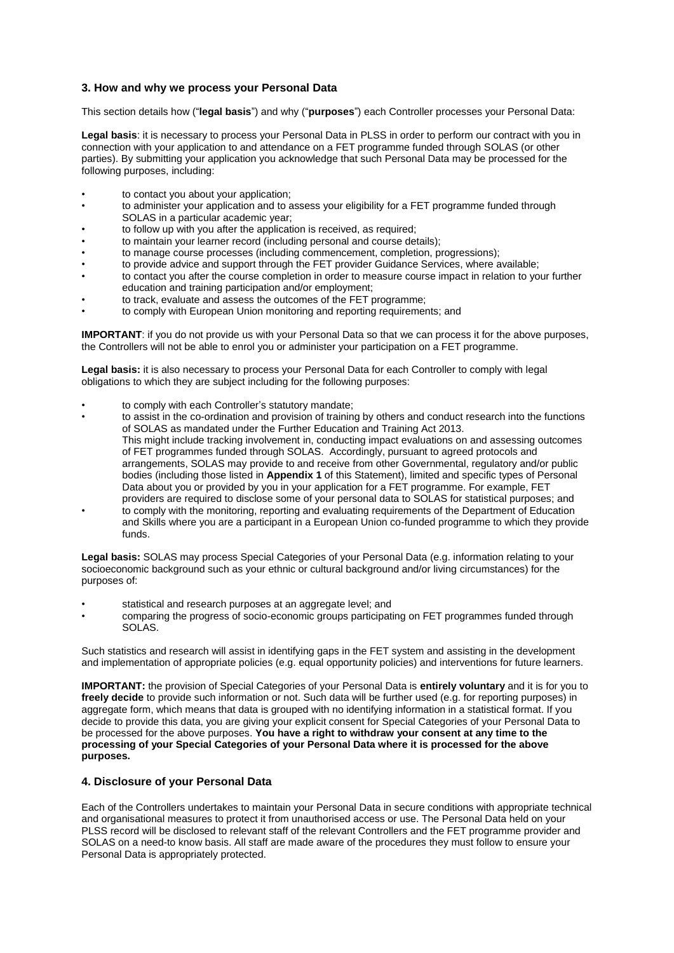# **3. How and why we process your Personal Data**

This section details how ("**legal basis**") and why ("**purposes**") each Controller processes your Personal Data:

**Legal basis**: it is necessary to process your Personal Data in PLSS in order to perform our contract with you in connection with your application to and attendance on a FET programme funded through SOLAS (or other parties). By submitting your application you acknowledge that such Personal Data may be processed for the following purposes, including:

- to contact you about your application;
- to administer your application and to assess your eligibility for a FET programme funded through SOLAS in a particular academic year;
- to follow up with you after the application is received, as required;
- to maintain your learner record (including personal and course details);
- to manage course processes (including commencement, completion, progressions);
- to provide advice and support through the FET provider Guidance Services, where available;
- to contact you after the course completion in order to measure course impact in relation to your further education and training participation and/or employment;
- to track, evaluate and assess the outcomes of the FET programme;
- to comply with European Union monitoring and reporting requirements; and

**IMPORTANT:** if you do not provide us with your Personal Data so that we can process it for the above purposes, the Controllers will not be able to enrol you or administer your participation on a FET programme.

**Legal basis:** it is also necessary to process your Personal Data for each Controller to comply with legal obligations to which they are subject including for the following purposes:

- to comply with each Controller's statutory mandate;
- to assist in the co-ordination and provision of training by others and conduct research into the functions of SOLAS as mandated under the Further Education and Training Act 2013. This might include tracking involvement in, conducting impact evaluations on and assessing outcomes of FET programmes funded through SOLAS. Accordingly, pursuant to agreed protocols and arrangements, SOLAS may provide to and receive from other Governmental, regulatory and/or public bodies (including those listed in **Appendix 1** of this Statement), limited and specific types of Personal Data about you or provided by you in your application for a FET programme. For example, FET providers are required to disclose some of your personal data to SOLAS for statistical purposes; and
- to comply with the monitoring, reporting and evaluating requirements of the Department of Education and Skills where you are a participant in a European Union co-funded programme to which they provide funds.

**Legal basis:** SOLAS may process Special Categories of your Personal Data (e.g. information relating to your socioeconomic background such as your ethnic or cultural background and/or living circumstances) for the purposes of:

- statistical and research purposes at an aggregate level; and
- comparing the progress of socio-economic groups participating on FET programmes funded through SOLAS.

Such statistics and research will assist in identifying gaps in the FET system and assisting in the development and implementation of appropriate policies (e.g. equal opportunity policies) and interventions for future learners.

**IMPORTANT:** the provision of Special Categories of your Personal Data is **entirely voluntary** and it is for you to **freely decide** to provide such information or not. Such data will be further used (e.g. for reporting purposes) in aggregate form, which means that data is grouped with no identifying information in a statistical format. If you decide to provide this data, you are giving your explicit consent for Special Categories of your Personal Data to be processed for the above purposes. **You have a right to withdraw your consent at any time to the processing of your Special Categories of your Personal Data where it is processed for the above purposes.**

### **4. Disclosure of your Personal Data**

Each of the Controllers undertakes to maintain your Personal Data in secure conditions with appropriate technical and organisational measures to protect it from unauthorised access or use. The Personal Data held on your PLSS record will be disclosed to relevant staff of the relevant Controllers and the FET programme provider and SOLAS on a need-to know basis. All staff are made aware of the procedures they must follow to ensure your Personal Data is appropriately protected.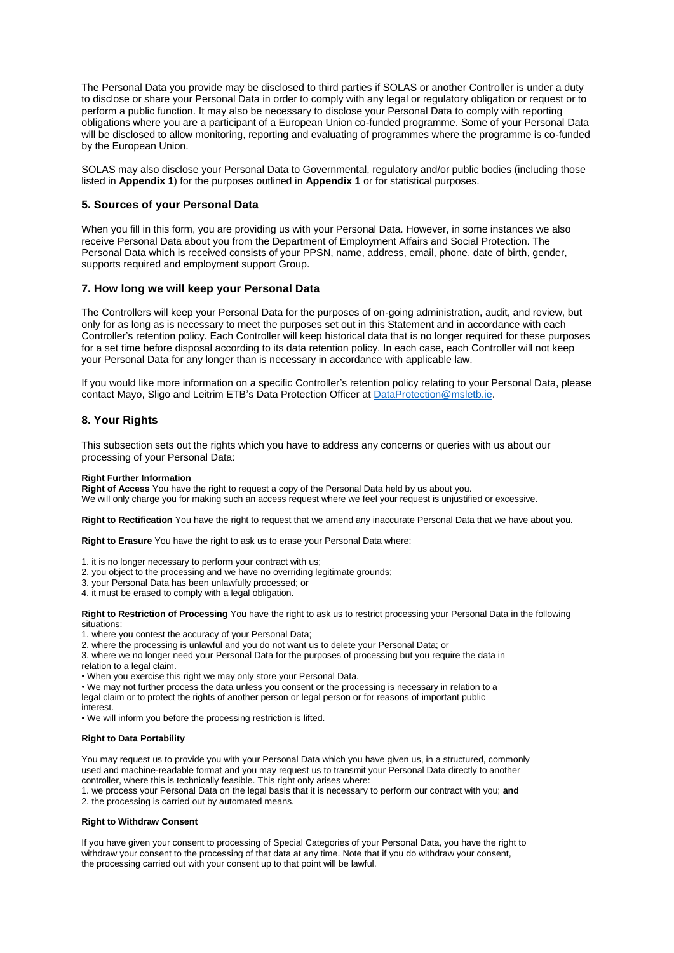The Personal Data you provide may be disclosed to third parties if SOLAS or another Controller is under a duty to disclose or share your Personal Data in order to comply with any legal or regulatory obligation or request or to perform a public function. It may also be necessary to disclose your Personal Data to comply with reporting obligations where you are a participant of a European Union co-funded programme. Some of your Personal Data will be disclosed to allow monitoring, reporting and evaluating of programmes where the programme is co-funded by the European Union.

SOLAS may also disclose your Personal Data to Governmental, regulatory and/or public bodies (including those listed in **Appendix 1**) for the purposes outlined in **Appendix 1** or for statistical purposes.

### **5. Sources of your Personal Data**

When you fill in this form, you are providing us with your Personal Data. However, in some instances we also receive Personal Data about you from the Department of Employment Affairs and Social Protection. The Personal Data which is received consists of your PPSN, name, address, email, phone, date of birth, gender, supports required and employment support Group.

### **7. How long we will keep your Personal Data**

The Controllers will keep your Personal Data for the purposes of on-going administration, audit, and review, but only for as long as is necessary to meet the purposes set out in this Statement and in accordance with each Controller's retention policy. Each Controller will keep historical data that is no longer required for these purposes for a set time before disposal according to its data retention policy. In each case, each Controller will not keep your Personal Data for any longer than is necessary in accordance with applicable law.

If you would like more information on a specific Controller's retention policy relating to your Personal Data, please contact Mayo, Sligo and Leitrim ETB's Data Protection Officer at [DataProtection@msletb.ie.](mailto:DataProtection@msletb.ie)

### **8. Your Rights**

This subsection sets out the rights which you have to address any concerns or queries with us about our processing of your Personal Data:

#### **Right Further Information**

**Right of Access** You have the right to request a copy of the Personal Data held by us about you. We will only charge you for making such an access request where we feel your request is unjustified or excessive.

**Right to Rectification** You have the right to request that we amend any inaccurate Personal Data that we have about you.

**Right to Erasure** You have the right to ask us to erase your Personal Data where:

- 1. it is no longer necessary to perform your contract with us;
- 2. you object to the processing and we have no overriding legitimate grounds;
- 3. your Personal Data has been unlawfully processed; or
- 4. it must be erased to comply with a legal obligation.

**Right to Restriction of Processing** You have the right to ask us to restrict processing your Personal Data in the following situations:

1. where you contest the accuracy of your Personal Data;

2. where the processing is unlawful and you do not want us to delete your Personal Data; or

3. where we no longer need your Personal Data for the purposes of processing but you require the data in relation to a legal claim.

• When you exercise this right we may only store your Personal Data.

• We may not further process the data unless you consent or the processing is necessary in relation to a legal claim or to protect the rights of another person or legal person or for reasons of important public interest.

• We will inform you before the processing restriction is lifted.

#### **Right to Data Portability**

You may request us to provide you with your Personal Data which you have given us, in a structured, commonly used and machine-readable format and you may request us to transmit your Personal Data directly to another controller, where this is technically feasible. This right only arises where:

1. we process your Personal Data on the legal basis that it is necessary to perform our contract with you; **and** 2. the processing is carried out by automated means.

#### **Right to Withdraw Consent**

If you have given your consent to processing of Special Categories of your Personal Data, you have the right to withdraw your consent to the processing of that data at any time. Note that if you do withdraw your consent, the processing carried out with your consent up to that point will be lawful.